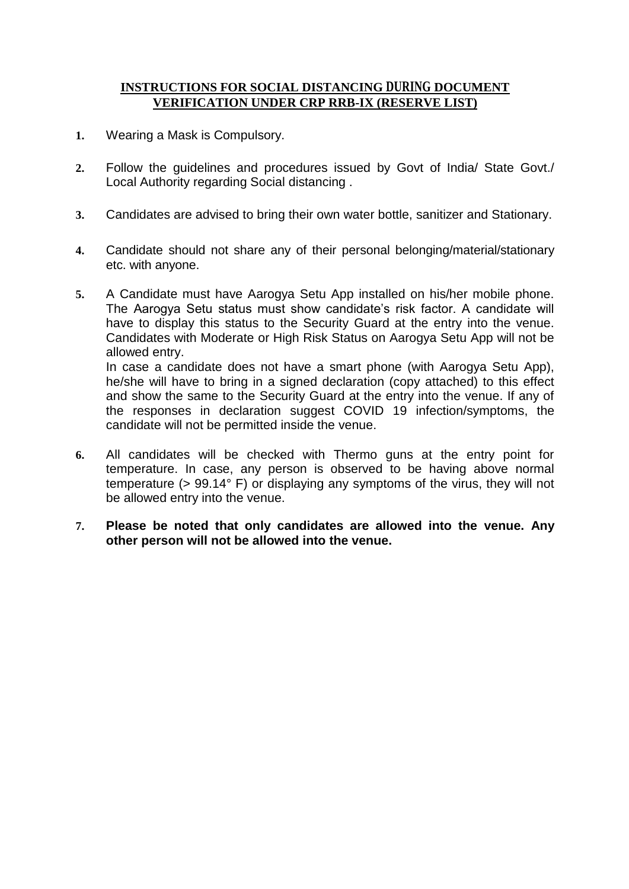## **INSTRUCTIONS FOR SOCIAL DISTANCING DURING DOCUMENT VERIFICATION UNDER CRP RRB-IX (RESERVE LIST)**

- **1.** Wearing a Mask is Compulsory.
- **2.** Follow the guidelines and procedures issued by Govt of India/ State Govt./ Local Authority regarding Social distancing .
- **3.** Candidates are advised to bring their own water bottle, sanitizer and Stationary.
- **4.** Candidate should not share any of their personal belonging/material/stationary etc. with anyone.
- **5.** A Candidate must have Aarogya Setu App installed on his/her mobile phone. The Aarogya Setu status must show candidate's risk factor. A candidate will have to display this status to the Security Guard at the entry into the venue. Candidates with Moderate or High Risk Status on Aarogya Setu App will not be allowed entry. In case a candidate does not have a smart phone (with Aarogya Setu App),

he/she will have to bring in a signed declaration (copy attached) to this effect and show the same to the Security Guard at the entry into the venue. If any of the responses in declaration suggest COVID 19 infection/symptoms, the candidate will not be permitted inside the venue.

- **6.** All candidates will be checked with Thermo guns at the entry point for temperature. In case, any person is observed to be having above normal temperature (> 99.14° F) or displaying any symptoms of the virus, they will not be allowed entry into the venue.
- **7. Please be noted that only candidates are allowed into the venue. Any other person will not be allowed into the venue.**